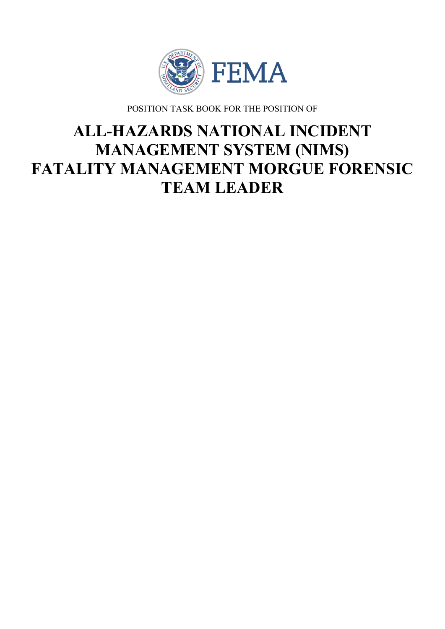

POSITION TASK BOOK FOR THE POSITION OF

# **ALL-HAZARDS NATIONAL INCIDENT MANAGEMENT SYSTEM (NIMS) FATALITY MANAGEMENT MORGUE FORENSIC TEAM LEADER**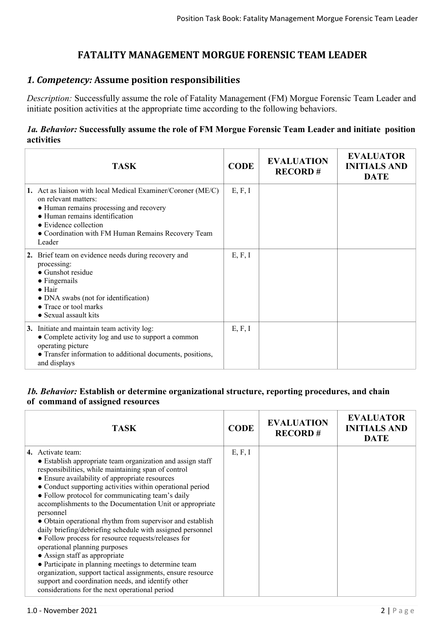# **FATALITY MANAGEMENT MORGUE FORENSIC TEAM LEADER**

## *1. Competency:* **Assume position responsibilities**

*Description:* Successfully assume the role of Fatality Management (FM) Morgue Forensic Team Leader and initiate position activities at the appropriate time according to the following behaviors.

#### *1a. Behavior:* **Successfully assume the role of FM Morgue Forensic Team Leader and initiate position activities**

| <b>TASK</b>                                                                                                                                                                                                                                                | <b>CODE</b> | <b>EVALUATION</b><br><b>RECORD#</b> | <b>EVALUATOR</b><br><b>INITIALS AND</b><br><b>DATE</b> |
|------------------------------------------------------------------------------------------------------------------------------------------------------------------------------------------------------------------------------------------------------------|-------------|-------------------------------------|--------------------------------------------------------|
| 1. Act as liaison with local Medical Examiner/Coroner (ME/C)<br>on relevant matters:<br>• Human remains processing and recovery<br>• Human remains identification<br>• Evidence collection<br>• Coordination with FM Human Remains Recovery Team<br>Leader | E, F, I     |                                     |                                                        |
| 2. Brief team on evidence needs during recovery and<br>processing:<br>• Gunshot residue<br>$\bullet$ Fingernails<br>$\bullet$ Hair<br>• DNA swabs (not for identification)<br>• Trace or tool marks<br>• Sexual assault kits                               | E, F, I     |                                     |                                                        |
| 3. Initiate and maintain team activity log:<br>• Complete activity log and use to support a common<br>operating picture<br>• Transfer information to additional documents, positions,<br>and displays                                                      | E, F, I     |                                     |                                                        |

#### *1b. Behavior:* **Establish or determine organizational structure, reporting procedures, and chain of command of assigned resources**

| <b>TASK</b>                                                                                                                                                                                                                                                                                                                                                                                                                                                                                                                                                                                                                                                                                                                                                                                                                                                           | <b>CODE</b> | <b>EVALUATION</b><br><b>RECORD#</b> | <b>EVALUATOR</b><br><b>INITIALS AND</b><br><b>DATE</b> |
|-----------------------------------------------------------------------------------------------------------------------------------------------------------------------------------------------------------------------------------------------------------------------------------------------------------------------------------------------------------------------------------------------------------------------------------------------------------------------------------------------------------------------------------------------------------------------------------------------------------------------------------------------------------------------------------------------------------------------------------------------------------------------------------------------------------------------------------------------------------------------|-------------|-------------------------------------|--------------------------------------------------------|
| 4. Activate team:<br>• Establish appropriate team organization and assign staff<br>responsibilities, while maintaining span of control<br>• Ensure availability of appropriate resources<br>• Conduct supporting activities within operational period<br>• Follow protocol for communicating team's daily<br>accomplishments to the Documentation Unit or appropriate<br>personnel<br>• Obtain operational rhythm from supervisor and establish<br>daily briefing/debriefing schedule with assigned personnel<br>• Follow process for resource requests/releases for<br>operational planning purposes<br>• Assign staff as appropriate<br>• Participate in planning meetings to determine team<br>organization, support tactical assignments, ensure resource<br>support and coordination needs, and identify other<br>considerations for the next operational period | E, F, I     |                                     |                                                        |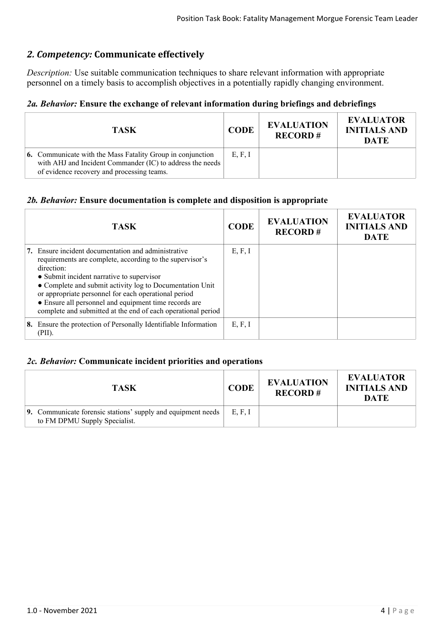# *2. Competency:* **Communicate effectively**

*Description:* Use suitable communication techniques to share relevant information with appropriate personnel on a timely basis to accomplish objectives in a potentially rapidly changing environment.

## *2a. Behavior:* **Ensure the exchange of relevant information during briefings and debriefings**

| <b>TASK</b>                                                                                                                                                                  | <b>CODE</b> | <b>EVALUATION</b><br><b>RECORD#</b> | <b>EVALUATOR</b><br><b>INITIALS AND</b><br><b>DATE</b> |
|------------------------------------------------------------------------------------------------------------------------------------------------------------------------------|-------------|-------------------------------------|--------------------------------------------------------|
| <b>6.</b> Communicate with the Mass Fatality Group in conjunction<br>with AHJ and Incident Commander (IC) to address the needs<br>of evidence recovery and processing teams. | E, F, I     |                                     |                                                        |

#### *2b. Behavior:* **Ensure documentation is complete and disposition is appropriate**

| <b>TASK</b>                                                                                                                                                                                                                                                                                                                                                                                                             | <b>CODE</b> | <b>EVALUATION</b><br><b>RECORD#</b> | <b>EVALUATOR</b><br><b>INITIALS AND</b><br><b>DATE</b> |
|-------------------------------------------------------------------------------------------------------------------------------------------------------------------------------------------------------------------------------------------------------------------------------------------------------------------------------------------------------------------------------------------------------------------------|-------------|-------------------------------------|--------------------------------------------------------|
| 7. Ensure incident documentation and administrative<br>requirements are complete, according to the supervisor's<br>direction:<br>• Submit incident narrative to supervisor<br>• Complete and submit activity log to Documentation Unit<br>or appropriate personnel for each operational period<br>• Ensure all personnel and equipment time records are<br>complete and submitted at the end of each operational period | E, F, I     |                                     |                                                        |
| 8. Ensure the protection of Personally Identifiable Information<br>(PII).                                                                                                                                                                                                                                                                                                                                               | E, F, I     |                                     |                                                        |

#### *2c. Behavior:* **Communicate incident priorities and operations**

| <b>TASK</b>                                                                                   | <b>CODE</b> | <b>EVALUATION</b><br><b>RECORD#</b> | <b>EVALUATOR</b><br><b>INITIALS AND</b><br><b>DATE</b> |
|-----------------------------------------------------------------------------------------------|-------------|-------------------------------------|--------------------------------------------------------|
| 9. Communicate forensic stations' supply and equipment needs<br>to FM DPMU Supply Specialist. | E, F, I     |                                     |                                                        |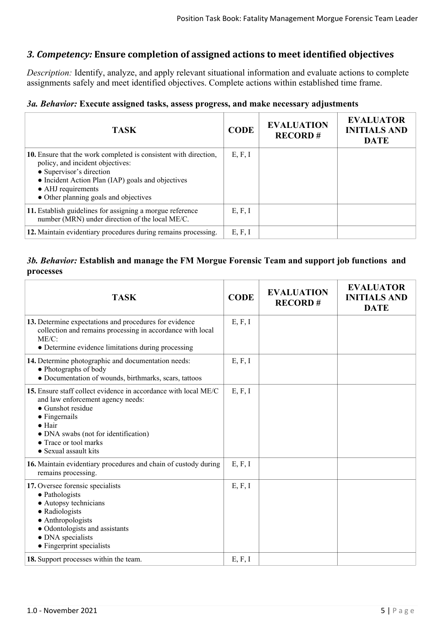## *3. Competency:* **Ensure completion of assigned actions to meet identified objectives**

*Description:* Identify, analyze, and apply relevant situational information and evaluate actions to complete assignments safely and meet identified objectives. Complete actions within established time frame.

#### *3a. Behavior:* **Execute assigned tasks, assess progress, and make necessary adjustments**

| <b>TASK</b>                                                                                                                                                                                                                                          | <b>CODE</b> | <b>EVALUATION</b><br><b>RECORD#</b> | <b>EVALUATOR</b><br><b>INITIALS AND</b><br><b>DATE</b> |
|------------------------------------------------------------------------------------------------------------------------------------------------------------------------------------------------------------------------------------------------------|-------------|-------------------------------------|--------------------------------------------------------|
| 10. Ensure that the work completed is consistent with direction,<br>policy, and incident objectives:<br>• Supervisor's direction<br>• Incident Action Plan (IAP) goals and objectives<br>• AHJ requirements<br>• Other planning goals and objectives | E, F, I     |                                     |                                                        |
| 11. Establish guidelines for assigning a morgue reference<br>number (MRN) under direction of the local ME/C.                                                                                                                                         | E, F, I     |                                     |                                                        |
| 12. Maintain evidentiary procedures during remains processing.                                                                                                                                                                                       | E, F, I     |                                     |                                                        |

#### *3b. Behavior:* **Establish and manage the FM Morgue Forensic Team and support job functions and processes**

| <b>TASK</b>                                                                                                                                                                                                                                                           | <b>CODE</b> | <b>EVALUATION</b><br><b>RECORD#</b> | <b>EVALUATOR</b><br><b>INITIALS AND</b><br><b>DATE</b> |
|-----------------------------------------------------------------------------------------------------------------------------------------------------------------------------------------------------------------------------------------------------------------------|-------------|-------------------------------------|--------------------------------------------------------|
| 13. Determine expectations and procedures for evidence<br>collection and remains processing in accordance with local<br>$ME/C$ :<br>• Determine evidence limitations during processing                                                                                | E, F, I     |                                     |                                                        |
| 14. Determine photographic and documentation needs:<br>• Photographs of body<br>• Documentation of wounds, birthmarks, scars, tattoos                                                                                                                                 | E, F, I     |                                     |                                                        |
| <b>15.</b> Ensure staff collect evidence in accordance with local ME/C<br>and law enforcement agency needs:<br>• Gunshot residue<br>$\bullet$ Fingernails<br>$\bullet$ Hair<br>• DNA swabs (not for identification)<br>• Trace or tool marks<br>• Sexual assault kits | E, F, I     |                                     |                                                        |
| 16. Maintain evidentiary procedures and chain of custody during<br>remains processing.                                                                                                                                                                                | E, F, I     |                                     |                                                        |
| 17. Oversee forensic specialists<br>• Pathologists<br>• Autopsy technicians<br>• Radiologists<br>• Anthropologists<br>• Odontologists and assistants<br>• DNA specialists<br>• Fingerprint specialists                                                                | E, F, I     |                                     |                                                        |
| 18. Support processes within the team.                                                                                                                                                                                                                                | E, F, I     |                                     |                                                        |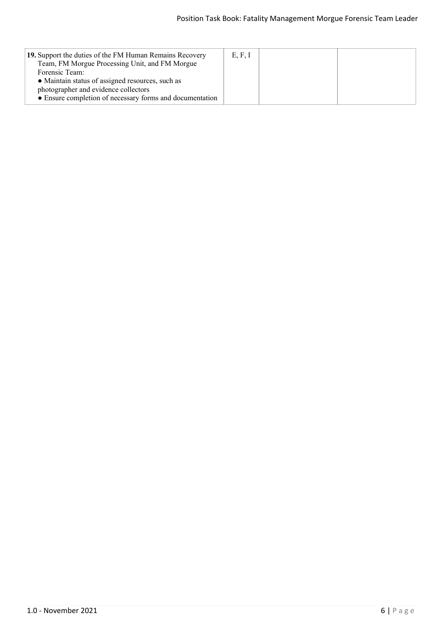| 19. Support the duties of the FM Human Remains Recovery<br>Team, FM Morgue Processing Unit, and FM Morgue | E, F, I |  |
|-----------------------------------------------------------------------------------------------------------|---------|--|
| Forensic Team:<br>• Maintain status of assigned resources, such as                                        |         |  |
| photographer and evidence collectors<br>• Ensure completion of necessary forms and documentation          |         |  |